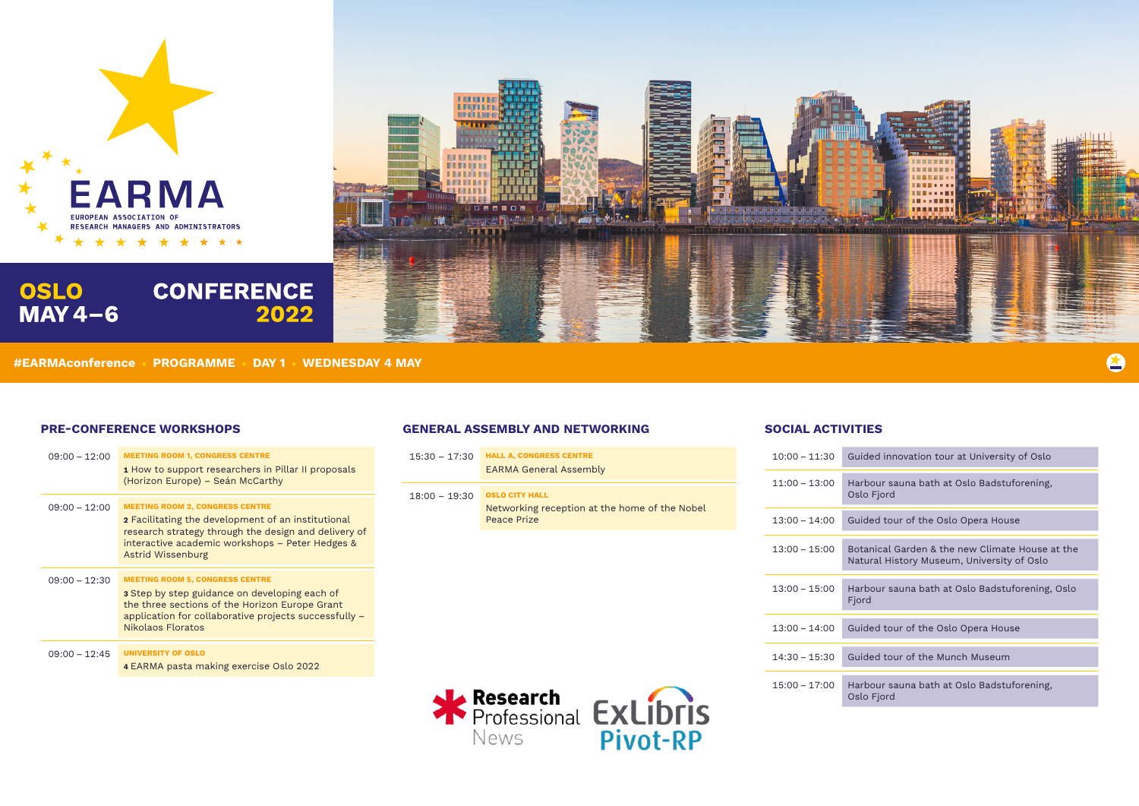

**OSLO** 

 $MAY 4-6$ 



| $15:30 - 17:30$ | <b>HALL A, CONGRESS CENTRE</b><br><b>EARMA General Assembly</b> |  | $10:00 - 11:30$ | Gui                      |
|-----------------|-----------------------------------------------------------------|--|-----------------|--------------------------|
|                 |                                                                 |  | $11:00 - 13:00$ | Har                      |
| $18:00 - 19:30$ | <b>OSLO CITY HALL</b>                                           |  |                 | Osl                      |
|                 | Networking reception at the home of the Nobel<br>Peace Prize    |  | $13:00 - 14:00$ | Gui                      |
|                 |                                                                 |  | $13:00 - 15:00$ | <b>Bot</b><br><b>Nat</b> |
|                 |                                                                 |  | $13:00 - 15:00$ | Har<br>Fjo               |
|                 |                                                                 |  | $13:00 - 14:00$ | Gui                      |
|                 |                                                                 |  | $14:30 - 15:30$ | Gui                      |
|                 | Research                                                        |  | $15:00 - 17:00$ | Har<br>Osl               |
|                 | Professional <b>EXLIDTIS</b>                                    |  |                 |                          |



ided innovation tour at University of Oslo

rbour sauna bath at Oslo Badstuforening, lo Fjord

.<br>ided tour of the Oslo Opera House

tanical Garden & the new Climate House at the tural History Museum, University of Oslo

rbour sauna bath at Oslo Badstuforening, Oslo rd

ided tour of the Oslo Opera House

 $10-15$  ided tour of the Munch Museum

rbour sauna bath at Oslo Badstuforening, lo Fjord

| $09:00 - 12:00$ | <b>MEETING ROOM 1, CONGRESS CENTRE</b><br><b>1</b> How to support researchers in Pillar II proposals<br>(Horizon Europe) – Seán McCarthy                                                                                            |
|-----------------|-------------------------------------------------------------------------------------------------------------------------------------------------------------------------------------------------------------------------------------|
| $09:00 - 12:00$ | <b>MEETING ROOM 2, CONGRESS CENTRE</b><br>2 Facilitating the development of an institutional<br>research strategy through the design and delivery of<br>interactive academic workshops - Peter Hedges &<br><b>Astrid Wissenburg</b> |
| $09:00 - 12:30$ | <b>MEETING ROOM 5, CONGRESS CENTRE</b><br><b>3</b> Step by step guidance on developing each of<br>the three sections of the Horizon Europe Grant<br>application for collaborative projects successfully -<br>Nikolaos Floratos      |
| $09:00 - 12:45$ | <b>UNIVERSITY OF OSLO</b><br>4 EARMA pasta making exercise Oslo 2022                                                                                                                                                                |

# **GENERAL ASSEMBLY AND NETWORKING PRE-CONFERENCE WORKSHOPS SOCIAL ACTIVITIES**

**#EARMAconference PROGRAMME DAY 1 WEDNESDAY 4 MAY**

**CONFERENCE** 

2022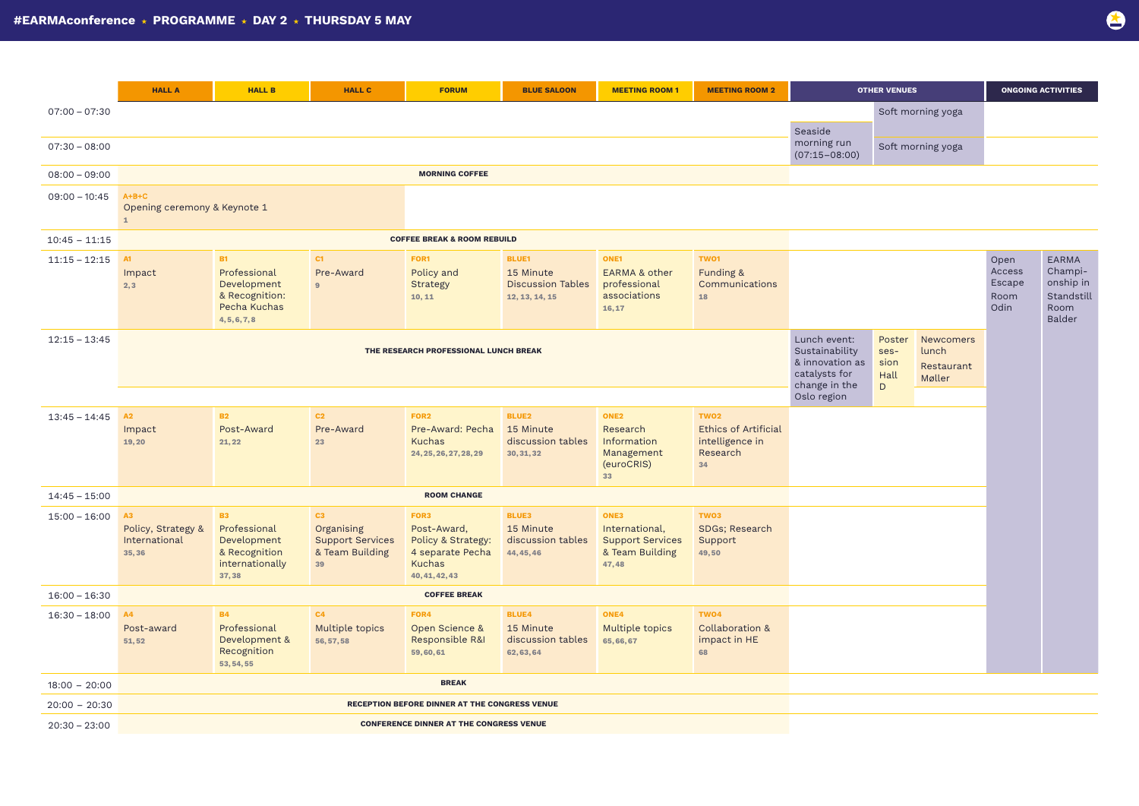|                 | <b>HALL A</b>                                      | <b>HALL B</b>                                                                               | <b>HALL C</b>                                                                       | <b>FORUM</b>                                                                              | <b>BLUE SALOON</b>                                                      | <b>MEETING ROOM 1</b>                                                         | <b>MEETING ROOM 2</b>                                                                | <b>OTHER VENUES</b>    |                   |  | <b>ONGOING ACTIVITIES</b>                |                                                                      |
|-----------------|----------------------------------------------------|---------------------------------------------------------------------------------------------|-------------------------------------------------------------------------------------|-------------------------------------------------------------------------------------------|-------------------------------------------------------------------------|-------------------------------------------------------------------------------|--------------------------------------------------------------------------------------|------------------------|-------------------|--|------------------------------------------|----------------------------------------------------------------------|
| $07:00 - 07:30$ |                                                    |                                                                                             |                                                                                     |                                                                                           |                                                                         |                                                                               |                                                                                      |                        | Soft morning yoga |  |                                          |                                                                      |
|                 |                                                    |                                                                                             |                                                                                     |                                                                                           |                                                                         |                                                                               |                                                                                      | Seaside<br>morning run |                   |  |                                          |                                                                      |
| $07:30 - 08:00$ |                                                    |                                                                                             |                                                                                     |                                                                                           |                                                                         |                                                                               |                                                                                      | $(07:15 - 08:00)$      | Soft morning yoga |  |                                          |                                                                      |
| $08:00 - 09:00$ |                                                    |                                                                                             |                                                                                     | <b>MORNING COFFEE</b>                                                                     |                                                                         |                                                                               |                                                                                      |                        |                   |  |                                          |                                                                      |
| $09:00 - 10:45$ | $A+B+C$<br>Opening ceremony & Keynote 1            |                                                                                             |                                                                                     |                                                                                           |                                                                         |                                                                               |                                                                                      |                        |                   |  |                                          |                                                                      |
| $10:45 - 11:15$ |                                                    |                                                                                             |                                                                                     | <b>COFFEE BREAK &amp; ROOM REBUILD</b>                                                    |                                                                         |                                                                               |                                                                                      |                        |                   |  |                                          |                                                                      |
| $11:15 - 12:15$ | A1<br>Impact<br>2,3                                | <b>B1</b><br>Professional<br>Development<br>& Recognition:<br>Pecha Kuchas<br>4, 5, 6, 7, 8 | C1<br>Pre-Award<br>9                                                                | FOR1<br>Policy and<br>Strategy<br>10, 11                                                  | <b>BLUE1</b><br>15 Minute<br><b>Discussion Tables</b><br>12, 13, 14, 15 | ONE1<br><b>EARMA &amp; other</b><br>professional<br>associations<br>16,17     | TWO1<br>Funding &<br>Communications<br>18                                            |                        |                   |  | Open<br>Access<br>Escape<br>Room<br>Odin | EARMA<br>Champi-<br>onship in<br>Standstill<br>Room<br><b>Balder</b> |
| $12:15 - 13:45$ |                                                    |                                                                                             | Lunch event:<br>Sustainability<br>& innovation as<br>catalysts for<br>change in the | Poster<br>ses-<br>sion<br>Hall<br>$\mathsf D$                                             | Newcomers<br>lunch<br>Restaurant<br>Møller                              |                                                                               |                                                                                      |                        |                   |  |                                          |                                                                      |
|                 |                                                    |                                                                                             |                                                                                     |                                                                                           |                                                                         |                                                                               |                                                                                      | Oslo region            |                   |  |                                          |                                                                      |
| $13:45 - 14:45$ | A2<br>Impact<br>19,20                              | <b>B2</b><br>Post-Award<br>21,22                                                            | C <sub>2</sub><br>Pre-Award<br>23                                                   | FOR <sub>2</sub><br>Pre-Award: Pecha<br>Kuchas<br>24, 25, 26, 27, 28, 29                  | <b>BLUE2</b><br>15 Minute<br>discussion tables<br>30, 31, 32            | ONE <sub>2</sub><br>Research<br>Information<br>Management<br>(euroCRIS)<br>33 | TWO <sub>2</sub><br><b>Ethics of Artificial</b><br>intelligence in<br>Research<br>34 |                        |                   |  |                                          |                                                                      |
| $14:45 - 15:00$ |                                                    |                                                                                             |                                                                                     | <b>ROOM CHANGE</b>                                                                        |                                                                         |                                                                               |                                                                                      |                        |                   |  |                                          |                                                                      |
| $15:00 - 16:00$ | A3<br>Policy, Strategy &<br>International<br>35,36 | <b>B3</b><br>Professional<br>Development<br>& Recognition<br>internationally<br>37,38       | C3<br>Organising<br><b>Support Services</b><br>& Team Building<br>39                | FOR3<br>Post-Award,<br>Policy & Strategy:<br>4 separate Pecha<br>Kuchas<br>40, 41, 42, 43 | <b>BLUE3</b><br>15 Minute<br>discussion tables<br>44, 45, 46            | ONE3<br>International,<br><b>Support Services</b><br>& Team Building<br>47,48 | TWO3<br>SDGs; Research<br>Support<br>49,50                                           |                        |                   |  |                                          |                                                                      |
| $16:00 - 16:30$ | <b>COFFEE BREAK</b>                                |                                                                                             |                                                                                     |                                                                                           |                                                                         |                                                                               |                                                                                      |                        |                   |  |                                          |                                                                      |
| $16:30 - 18:00$ | <b>A4</b><br>Post-award<br>51,52                   | <b>B4</b><br>Professional<br>Development &<br>Recognition<br>53, 54, 55                     | C4<br>Multiple topics<br>56, 57, 58                                                 | FOR4<br>Open Science &<br>Responsible R&I<br>59,60,61                                     | <b>BLUE4</b><br>15 Minute<br>discussion tables<br>62, 63, 64            | ONE4<br>Multiple topics<br>65,66,67                                           | TWO <sub>4</sub><br>Collaboration &<br>impact in HE<br>68                            |                        |                   |  |                                          |                                                                      |
| $18:00 - 20:00$ | <b>BREAK</b>                                       |                                                                                             |                                                                                     |                                                                                           |                                                                         |                                                                               |                                                                                      |                        |                   |  |                                          |                                                                      |
| $20:00 - 20:30$ | RECEPTION BEFORE DINNER AT THE CONGRESS VENUE      |                                                                                             |                                                                                     |                                                                                           |                                                                         |                                                                               |                                                                                      |                        |                   |  |                                          |                                                                      |
| $20:30 - 23:00$ | <b>CONFERENCE DINNER AT THE CONGRESS VENUE</b>     |                                                                                             |                                                                                     |                                                                                           |                                                                         |                                                                               |                                                                                      |                        |                   |  |                                          |                                                                      |



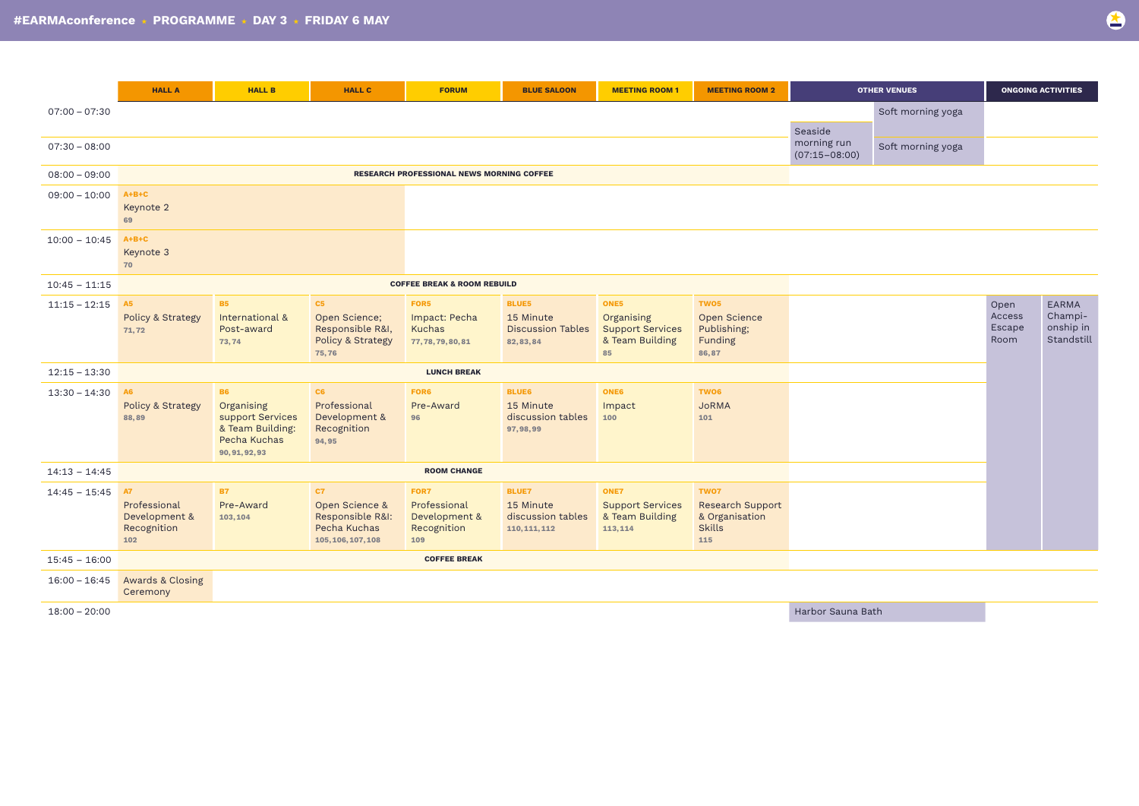|                 | <b>HALL A</b>                                             | <b>HALL B</b>                                                                                     | <b>HALL C</b>                                                                  | <b>FORUM</b>                                          | <b>BLUE SALOON</b>                                                  | <b>MEETING ROOM 1</b>                                                  | <b>MEETING ROOM 2</b>                                              | <b>OTHER VENUES</b>              |                   | <b>ONGOING ACTIVITIES</b>        |                                             |
|-----------------|-----------------------------------------------------------|---------------------------------------------------------------------------------------------------|--------------------------------------------------------------------------------|-------------------------------------------------------|---------------------------------------------------------------------|------------------------------------------------------------------------|--------------------------------------------------------------------|----------------------------------|-------------------|----------------------------------|---------------------------------------------|
| $07:00 - 07:30$ |                                                           |                                                                                                   |                                                                                |                                                       |                                                                     |                                                                        |                                                                    | Seaside                          | Soft morning yoga |                                  |                                             |
| $07:30 - 08:00$ |                                                           |                                                                                                   |                                                                                |                                                       |                                                                     |                                                                        |                                                                    | morning run<br>$(07:15 - 08:00)$ | Soft morning yoga |                                  |                                             |
| $08:00 - 09:00$ |                                                           |                                                                                                   |                                                                                | <b>RESEARCH PROFESSIONAL NEWS MORNING COFFEE</b>      |                                                                     |                                                                        |                                                                    |                                  |                   |                                  |                                             |
| $09:00 - 10:00$ | $A+B+C$<br>Keynote 2<br>69                                |                                                                                                   |                                                                                |                                                       |                                                                     |                                                                        |                                                                    |                                  |                   |                                  |                                             |
| $10:00 - 10:45$ | $A+B+C$<br>Keynote 3<br>70                                |                                                                                                   |                                                                                |                                                       |                                                                     |                                                                        |                                                                    |                                  |                   |                                  |                                             |
| $10:45 - 11:15$ |                                                           |                                                                                                   |                                                                                | <b>COFFEE BREAK &amp; ROOM REBUILD</b>                |                                                                     |                                                                        |                                                                    |                                  |                   |                                  |                                             |
| $11:15 - 12:15$ | <b>A5</b><br><b>Policy &amp; Strategy</b><br>71,72        | <b>B5</b><br>International &<br>Post-award<br>73,74                                               | C5<br>Open Science;<br>Responsible R&I,<br>Policy & Strategy<br>75,76          | FOR5<br>Impact: Pecha<br>Kuchas<br>77, 78, 79, 80, 81 | <b>BLUE5</b><br>15 Minute<br><b>Discussion Tables</b><br>82, 83, 84 | ONE5<br>Organising<br><b>Support Services</b><br>& Team Building<br>85 | TWO5<br><b>Open Science</b><br>Publishing;<br>Funding<br>86,87     |                                  |                   | Open<br>Access<br>Escape<br>Room | EARMA<br>Champi-<br>onship in<br>Standstill |
| $12:15 - 13:30$ |                                                           |                                                                                                   |                                                                                | <b>LUNCH BREAK</b>                                    |                                                                     |                                                                        |                                                                    |                                  |                   |                                  |                                             |
| $13:30 - 14:30$ | <b>A6</b><br>Policy & Strategy<br>88,89                   | <b>B6</b><br>Organising<br>support Services<br>& Team Building:<br>Pecha Kuchas<br>90, 91, 92, 93 | C6<br>Professional<br>Development &<br>Recognition<br>94,95                    | FOR6<br>Pre-Award<br>96                               | <b>BLUE6</b><br>15 Minute<br>discussion tables<br>97, 98, 99        | <b>ONE6</b><br>Impact<br>100                                           | TWO <sub>6</sub><br><b>JoRMA</b><br>101                            |                                  |                   |                                  |                                             |
| $14:13 - 14:45$ |                                                           | <b>ROOM CHANGE</b>                                                                                |                                                                                |                                                       |                                                                     |                                                                        |                                                                    |                                  |                   |                                  |                                             |
| $14:45 - 15:45$ | A7<br>Professional<br>Development &<br>Recognition<br>102 | <b>B7</b><br>Pre-Award<br>103,104                                                                 | C7<br>Open Science &<br>Responsible R&I:<br>Pecha Kuchas<br>105, 106, 107, 108 | FOR7<br>EARMA<br>Leadership in<br>Research<br>109     | <b>BLUE7</b><br>15 Minute<br>discussion tables<br>110, 111, 112     | <b>ONE7</b><br><b>Support Services</b><br>& Team Building<br>113, 114  | TWO7<br>Research Support<br>& Organisation<br><b>Skills</b><br>115 |                                  |                   |                                  |                                             |
| $15:45 - 16:00$ |                                                           |                                                                                                   |                                                                                | <b>COFFEE BREAK</b>                                   |                                                                     |                                                                        |                                                                    |                                  |                   |                                  |                                             |
| $16:00 - 16:45$ | <b>Awards &amp; Closing</b><br>Ceremony                   |                                                                                                   |                                                                                |                                                       |                                                                     |                                                                        |                                                                    |                                  |                   |                                  |                                             |

18:00 – 20:00 Harbor Sauna Bath

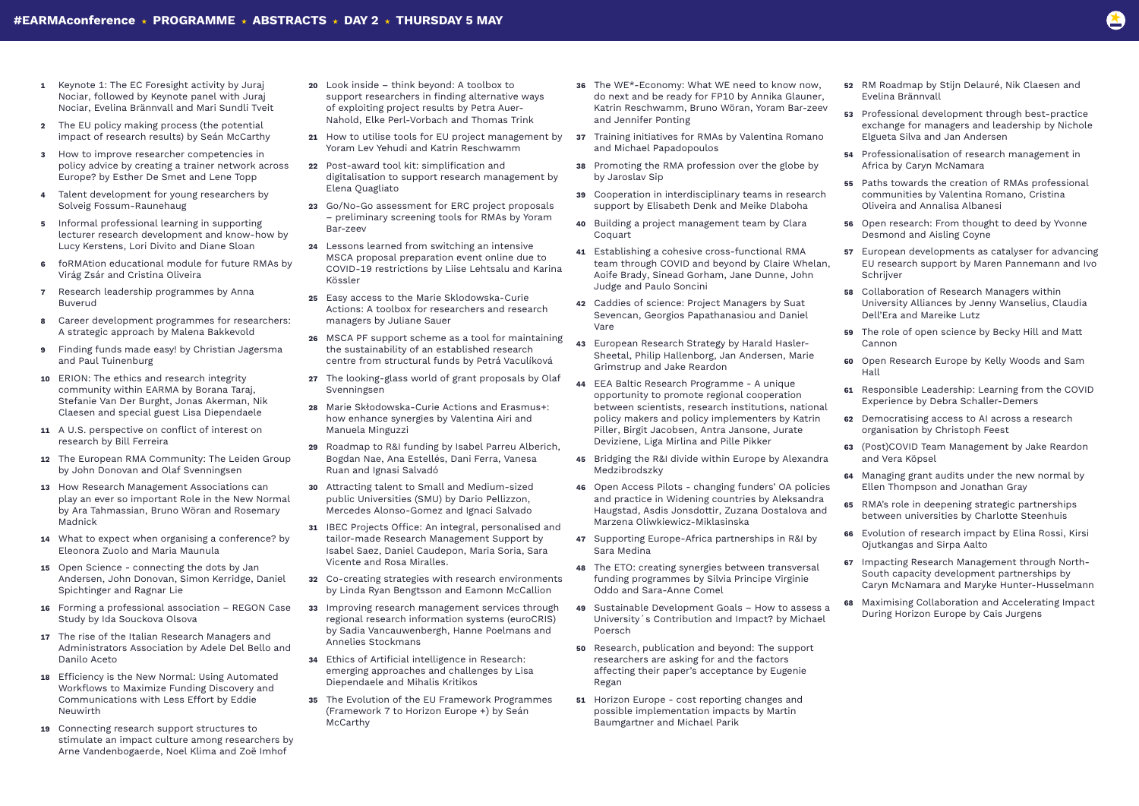- **1** Keynote 1: The EC Foresight activity by Juraj Nociar, followed by Keynote panel with Juraj Nociar, Evelina Brännvall and Mari Sundli Tveit
- **2** The EU policy making process (the potential impact of research results) by Seán McCarthy
- **3** How to improve researcher competencies in policy advice by creating a trainer network across Europe? by Esther De Smet and Lene Topp
- **4** Talent development for young researchers by Solveig Fossum-Raunehaug
- **5** Informal professional learning in supporting lecturer research development and know-how by Lucy Kerstens, Lori Divito and Diane Sloan
- **6** foRMAtion educational module for future RMAs by Virág Zsár and Cristina Oliveira
- **7** Research leadership programmes by Anna Buverud
- **8** Career development programmes for researchers: A strategic approach by Malena Bakkevold
- **9** Finding funds made easy! by Christian Jagersma and Paul Tuinenburg
- **10** ERION: The ethics and research integrity community within EARMA by Borana Taraj, Stefanie Van Der Burght, Jonas Akerman, Nik Claesen and special guest Lisa Diependaele
- **11** A U.S. perspective on conflict of interest on research by Bill Ferreira
- **12** The European RMA Community: The Leiden Group by John Donovan and Olaf Svenningsen
- **13** How Research Management Associations can play an ever so important Role in the New Normal by Ara Tahmassian, Bruno Wöran and Rosemary Madnick
- **14** What to expect when organising a conference? by Eleonora Zuolo and Maria Maunula
- **15** Open Science connecting the dots by Jan Andersen, John Donovan, Simon Kerridge, Daniel Spichtinger and Ragnar Lie
- **16** Forming a professional association REGON Case Study by Ida Souckova Olsova
- **17** The rise of the Italian Research Managers and Administrators Association by Adele Del Bello and Danilo Aceto
- **18** Efficiency is the New Normal: Using Automated Workflows to Maximize Funding Discovery and Communications with Less Effort by Eddie Neuwirth
- **19** Connecting research support structures to stimulate an impact culture among researchers by Arne Vandenbogaerde, Noel Klima and Zoë Imhof
- **20** Look inside think beyond: A toolbox to support researchers in finding alternative ways of exploiting project results by Petra Auer-Nahold, Elke Perl-Vorbach and Thomas Trink
- **21** How to utilise tools for EU project management by Yoram Lev Yehudi and Katrin Reschwamm
- **22** Post-award tool kit: simplification and digitalisation to support research management by Elena Quagliato
- **23** Go/No-Go assessment for ERC project proposals – preliminary screening tools for RMAs by Yoram Bar-zeev
- **24** Lessons learned from switching an intensive MSCA proposal preparation event online due to COVID-19 restrictions by Liise Lehtsalu and Karina Kössler
- **25** Easy access to the Marie Sklodowska-Curie Actions: A toolbox for researchers and research managers by Juliane Sauer
- **26** MSCA PF support scheme as a tool for maintaining the sustainability of an established research centre from structural funds by Petrá Vaculíková
- **27** The looking-glass world of grant proposals by Olaf Svenningsen
- **28** Marie Skłodowska-Curie Actions and Erasmus+: how enhance synergies by Valentina Airi and Manuela Minguzzi
- **29** Roadmap to R&I funding by Isabel Parreu Alberich, Bogdan Nae, Ana Estellés, Dani Ferra, Vanesa Ruan and Ignasi Salvadó
- **30** Attracting talent to Small and Medium-sized public Universities (SMU) by Dario Pellizzon, Mercedes Alonso-Gomez and Ignaci Salvado
- **31** IBEC Projects Office: An integral, personalised and tailor-made Research Management Support by Isabel Saez, Daniel Caudepon, Maria Soria, Sara Vicente and Rosa Miralles.
- **32** Co-creating strategies with research environments by Linda Ryan Bengtsson and Eamonn McCallion
- **33** Improving research management services through regional research information systems (euroCRIS) by Sadia Vancauwenbergh, Hanne Poelmans and Annelies Stockmans
- **34** Ethics of Artificial intelligence in Research: emerging approaches and challenges by Lisa Diependaele and Mihalis Kritikos
- **35** The Evolution of the EU Framework Programmes (Framework 7 to Horizon Europe +) by Seán McCarthy
- **36** The WE\*-Economy: What WE need to know now, do next and be ready for FP10 by Annika Glauner, Katrin Reschwamm, Bruno Wöran, Yoram Bar-zeev and Jennifer Ponting
- **37** Training initiatives for RMAs by Valentina Romano and Michael Papadopoulos
- **38** Promoting the RMA profession over the globe by by Jaroslav Sip
- **39** Cooperation in interdisciplinary teams in research support by Elisabeth Denk and Meike Dlaboha
- **40** Building a project management team by Clara Coquart
- **41** Establishing a cohesive cross-functional RMA team through COVID and beyond by Claire Whelan, Aoife Brady, Sinead Gorham, Jane Dunne, John Judge and Paulo Soncini
- **42** Caddies of science: Project Managers by Suat Sevencan, Georgios Papathanasiou and Daniel Vare
- **43** European Research Strategy by Harald Hasler-Sheetal, Philip Hallenborg, Jan Andersen, Marie Grimstrup and Jake Reardon
- **44** EEA Baltic Research Programme A unique opportunity to promote regional cooperation between scientists, research institutions, national policy makers and policy implementers by Katrin Piller, Birgit Jacobsen, Antra Jansone, Jurate Deviziene, Liga Mirlina and Pille Pikker
- **45** Bridging the R&I divide within Europe by Alexandra Medzibrodszky
- **46** Open Access Pilots changing funders' OA policies and practice in Widening countries by Aleksandra Haugstad, Asdis Jonsdottir, Zuzana Dostalova and Marzena Oliwkiewicz-Miklasinska
- **47** Supporting Europe-Africa partnerships in R&I by Sara Medina
- **48** The ETO: creating synergies between transversal funding programmes by Silvia Principe Virginie Oddo and Sara-Anne Comel
- **49** Sustainable Development Goals How to assess a University´s Contribution and Impact? by Michael Poersch
- **50** Research, publication and beyond: The support researchers are asking for and the factors affecting their paper's acceptance by Eugenie Regan
- **51** Horizon Europe cost reporting changes and possible implementation impacts by Martin Baumgartner and Michael Parik
- 
- 



- **52** RM Roadmap by Stijn Delauré, Nik Claesen and Evelina Brännvall
- **53** Professional development through best-practice exchange for managers and leadership by Nichole Elgueta Silva and Jan Andersen
- **54** Professionalisation of research management in Africa by Caryn McNamara
- **55** Paths towards the creation of RMAs professional communities by Valentina Romano, Cristina Oliveira and Annalisa Albanesi
- **56** Open research: From thought to deed by Yvonne Desmond and Aisling Coyne
- **57** European developments as catalyser for advancing EU research support by Maren Pannemann and Ivo Schrijver
- **58** Collaboration of Research Managers within University Alliances by Jenny Wanselius, Claudia Dell'Era and Mareike Lutz
- **59** The role of open science by Becky Hill and Matt Cannon
- **60** Open Research Europe by Kelly Woods and Sam Hall
- **61** Responsible Leadership: Learning from the COVID Experience by Debra Schaller-Demers
- **62** Democratising access to AI across a research organisation by Christoph Feest
- **63** (Post)COVID Team Management by Jake Reardon and Vera Köpsel
- **64** Managing grant audits under the new normal by Ellen Thompson and Jonathan Gray
- **65** RMA's role in deepening strategic partnerships between universities by Charlotte Steenhuis
- **66** Evolution of research impact by Elina Rossi, Kirsi Ojutkangas and Sirpa Aalto
- **67** Impacting Research Management through North-South capacity development partnerships by Caryn McNamara and Maryke Hunter-Husselmann
- **68** Maximising Collaboration and Accelerating Impact During Horizon Europe by Cais Jurgens